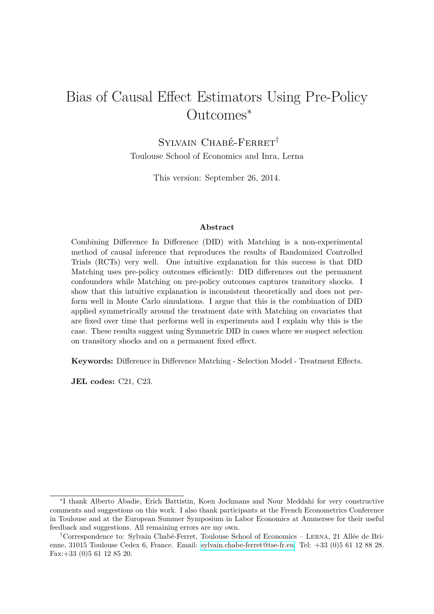# Bias of Causal Effect Estimators Using Pre-Policy Outcomes<sup>∗</sup>

Sylvain Chabé-Ferret† Toulouse School of Economics and Inra, Lerna

This version: September 26, 2014.

#### **Abstract**

Combining Difference In Difference (DID) with Matching is a non-experimental method of causal inference that reproduces the results of Randomized Controlled Trials (RCTs) very well. One intuitive explanation for this success is that DID Matching uses pre-policy outcomes efficiently: DID differences out the permanent confounders while Matching on pre-policy outcomes captures transitory shocks. I show that this intuitive explanation is inconsistent theoretically and does not perform well in Monte Carlo simulations. I argue that this is the combination of DID applied symmetrically around the treatment date with Matching on covariates that are fixed over time that performs well in experiments and I explain why this is the case. These results suggest using Symmetric DID in cases where we suspect selection on transitory shocks and on a permanent fixed effect.

**Keywords:** Difference in Difference Matching - Selection Model - Treatment Effects.

**JEL codes:** C21, C23.

<sup>∗</sup> I thank Alberto Abadie, Erich Battistin, Koen Jochmans and Nour Meddahi for very constructive comments and suggestions on this work. I also thank participants at the French Econometrics Conference in Toulouse and at the European Summer Symposium in Labor Economics at Ammersee for their useful feedback and suggestions. All remaining errors are my own.

<sup>†</sup>Correspondence to: Sylvain Chabé-Ferret, Toulouse School of Economics – Lerna, 21 Allée de Brienne, 31015 Toulouse Cedex 6, France. Email: [sylvain.chabe-ferret@tse-fr.eu.](mailto:sylvain.chabe-ferret@tse-fr.eu) Tel: +33 (0)5 61 12 88 28. Fax:+33 (0)5 61 12 85 20.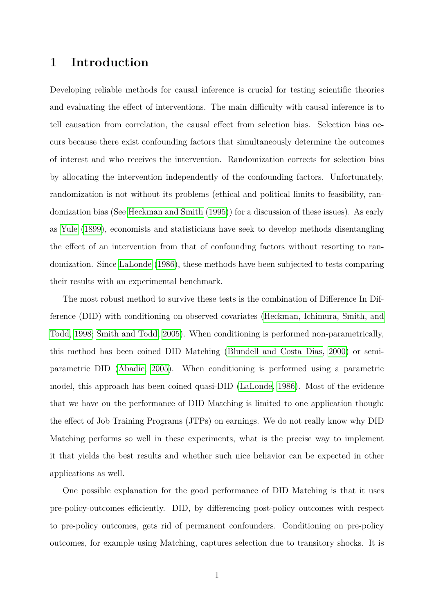## **1 Introduction**

Developing reliable methods for causal inference is crucial for testing scientific theories and evaluating the effect of interventions. The main difficulty with causal inference is to tell causation from correlation, the causal effect from selection bias. Selection bias occurs because there exist confounding factors that simultaneously determine the outcomes of interest and who receives the intervention. Randomization corrects for selection bias by allocating the intervention independently of the confounding factors. Unfortunately, randomization is not without its problems (ethical and political limits to feasibility, randomization bias (See [Heckman and Smith](#page-19-0) [\(1995\)](#page-19-0)) for a discussion of these issues). As early as [Yule](#page-19-1) [\(1899\)](#page-19-1), economists and statisticians have seek to develop methods disentangling the effect of an intervention from that of confounding factors without resorting to randomization. Since [LaLonde](#page-19-2) [\(1986\)](#page-19-2), these methods have been subjected to tests comparing their results with an experimental benchmark.

The most robust method to survive these tests is the combination of Difference In Difference (DID) with conditioning on observed covariates [\(Heckman, Ichimura, Smith, and](#page-18-0) [Todd, 1998;](#page-18-0) [Smith and Todd, 2005\)](#page-19-3). When conditioning is performed non-parametrically, this method has been coined DID Matching [\(Blundell and Costa Dias, 2000\)](#page-17-0) or semiparametric DID [\(Abadie, 2005\)](#page-17-1). When conditioning is performed using a parametric model, this approach has been coined quasi-DID [\(LaLonde, 1986\)](#page-19-2). Most of the evidence that we have on the performance of DID Matching is limited to one application though: the effect of Job Training Programs (JTPs) on earnings. We do not really know why DID Matching performs so well in these experiments, what is the precise way to implement it that yields the best results and whether such nice behavior can be expected in other applications as well.

One possible explanation for the good performance of DID Matching is that it uses pre-policy-outcomes efficiently. DID, by differencing post-policy outcomes with respect to pre-policy outcomes, gets rid of permanent confounders. Conditioning on pre-policy outcomes, for example using Matching, captures selection due to transitory shocks. It is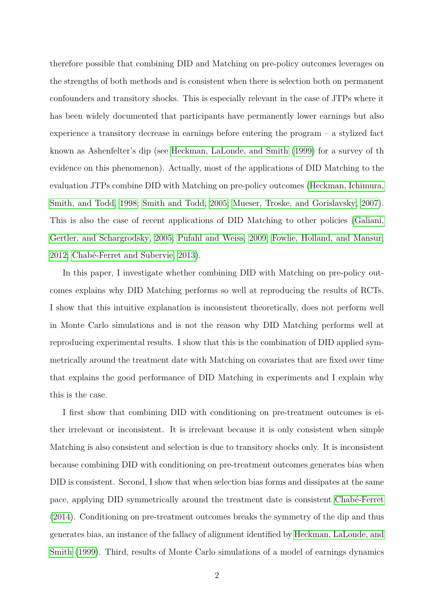therefore possible that combining DID and Matching on pre-policy outcomes leverages on the strengths of both methods and is consistent when there is selection both on permanent confounders and transitory shocks. This is especially relevant in the case of JTPs where it has been widely documented that participants have permanently lower earnings but also experience a transitory decrease in earnings before entering the program – a stylized fact known as Ashenfelter's dip (see [Heckman, LaLonde, and Smith](#page-18-1) [\(1999\)](#page-18-1) for a survey of th evidence on this phenomenon). Actually, most of the applications of DID Matching to the evaluation JTPs combine DID with Matching on pre-policy outcomes [\(Heckman, Ichimura,](#page-18-0) [Smith, and Todd, 1998;](#page-18-0) [Smith and Todd, 2005;](#page-19-3) [Mueser, Troske, and Gorislavsky, 2007\)](#page-19-4). This is also the case of recent applications of DID Matching to other policies [\(Galiani,](#page-18-2) [Gertler, and Schargrodsky, 2005;](#page-18-2) [Pufahl and Weiss, 2009;](#page-19-5) [Fowlie, Holland, and Mansur,](#page-18-3) [2012;](#page-18-3) [Chabé-Ferret and Subervie, 2013\)](#page-18-4).

In this paper, I investigate whether combining DID with Matching on pre-policy outcomes explains why DID Matching performs so well at reproducing the results of RCTs. I show that this intuitive explanation is inconsistent theoretically, does not perform well in Monte Carlo simulations and is not the reason why DID Matching performs well at reproducing experimental results. I show that this is the combination of DID applied symmetrically around the treatment date with Matching on covariates that are fixed over time that explains the good performance of DID Matching in experiments and I explain why this is the case.

I first show that combining DID with conditioning on pre-treatment outcomes is either irrelevant or inconsistent. It is irrelevant because it is only consistent when simple Matching is also consistent and selection is due to transitory shocks only. It is inconsistent because combining DID with conditioning on pre-treatment outcomes generates bias when DID is consistent. Second, I show that when selection bias forms and dissipates at the same pace, applying DID symmetrically around the treatment date is consistent [Chabé-Ferret](#page-18-5) [\(2014\)](#page-18-5). Conditioning on pre-treatment outcomes breaks the symmetry of the dip and thus generates bias, an instance of the fallacy of alignment identified by [Heckman, LaLonde, and](#page-18-1) [Smith](#page-18-1) [\(1999\)](#page-18-1). Third, results of Monte Carlo simulations of a model of earnings dynamics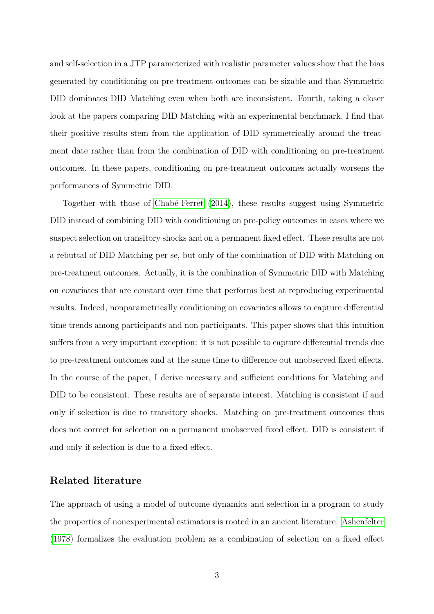and self-selection in a JTP parameterized with realistic parameter values show that the bias generated by conditioning on pre-treatment outcomes can be sizable and that Symmetric DID dominates DID Matching even when both are inconsistent. Fourth, taking a closer look at the papers comparing DID Matching with an experimental benchmark, I find that their positive results stem from the application of DID symmetrically around the treatment date rather than from the combination of DID with conditioning on pre-treatment outcomes. In these papers, conditioning on pre-treatment outcomes actually worsens the performances of Symmetric DID.

Together with those of [Chabé-Ferret](#page-18-5) [\(2014\)](#page-18-5), these results suggest using Symmetric DID instead of combining DID with conditioning on pre-policy outcomes in cases where we suspect selection on transitory shocks and on a permanent fixed effect. These results are not a rebuttal of DID Matching per se, but only of the combination of DID with Matching on pre-treatment outcomes. Actually, it is the combination of Symmetric DID with Matching on covariates that are constant over time that performs best at reproducing experimental results. Indeed, nonparametrically conditioning on covariates allows to capture differential time trends among participants and non participants. This paper shows that this intuition suffers from a very important exception: it is not possible to capture differential trends due to pre-treatment outcomes and at the same time to difference out unobserved fixed effects. In the course of the paper, I derive necessary and sufficient conditions for Matching and DID to be consistent. These results are of separate interest. Matching is consistent if and only if selection is due to transitory shocks. Matching on pre-treatment outcomes thus does not correct for selection on a permanent unobserved fixed effect. DID is consistent if and only if selection is due to a fixed effect.

### **Related literature**

The approach of using a model of outcome dynamics and selection in a program to study the properties of nonexperimental estimators is rooted in an ancient literature. [Ashenfelter](#page-17-2) [\(1978\)](#page-17-2) formalizes the evaluation problem as a combination of selection on a fixed effect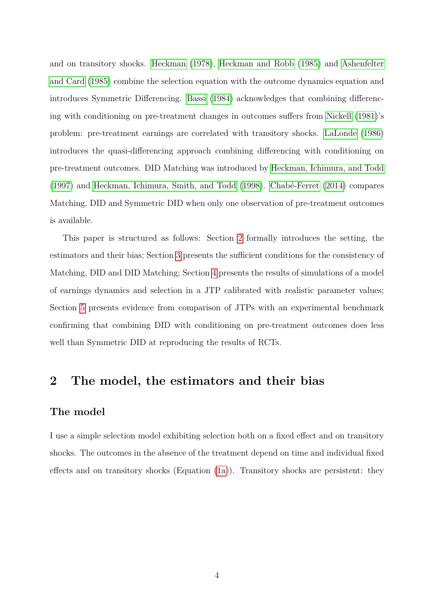and on transitory shocks. [Heckman](#page-18-6) [\(1978\)](#page-18-6), [Heckman and Robb](#page-18-7) [\(1985\)](#page-18-7) and [Ashenfelter](#page-17-3) [and Card](#page-17-3) [\(1985\)](#page-17-3) combine the selection equation with the outcome dynamics equation and introduces Symmetric Differencing. [Bassi](#page-17-4) [\(1984\)](#page-17-4) acknowledges that combining differencing with conditioning on pre-treatment changes in outcomes suffers from [Nickell](#page-19-6) [\(1981\)](#page-19-6)'s problem: pre-treatment earnings are correlated with transitory shocks. [LaLonde](#page-19-2) [\(1986\)](#page-19-2) introduces the quasi-differencing approach combining differencing with conditioning on pre-treatment outcomes. DID Matching was introduced by [Heckman, Ichimura, and Todd](#page-18-8) [\(1997\)](#page-18-8) and [Heckman, Ichimura, Smith, and Todd](#page-18-0) [\(1998\)](#page-18-0). [Chabé-Ferret](#page-18-5) [\(2014\)](#page-18-5) compares Matching, DID and Symmetric DID when only one observation of pre-treatment outcomes is available.

This paper is structured as follows: Section [2](#page-4-0) formally introduces the setting, the estimators and their bias; Section [3](#page-7-0) presents the sufficient conditions for the consistency of Matching, DID and DID Matching; Section [4](#page-13-0) presents the results of simulations of a model of earnings dynamics and selection in a JTP calibrated with realistic parameter values; Section [5](#page-15-0) presents evidence from comparison of JTPs with an experimental benchmark confirming that combining DID with conditioning on pre-treatment outcomes does less well than Symmetric DID at reproducing the results of RCTs.

## <span id="page-4-0"></span>**2 The model, the estimators and their bias**

### **The model**

I use a simple selection model exhibiting selection both on a fixed effect and on transitory shocks. The outcomes in the absence of the treatment depend on time and individual fixed effects and on transitory shocks (Equation [\(1a\)](#page-5-0)). Transitory shocks are persistent: they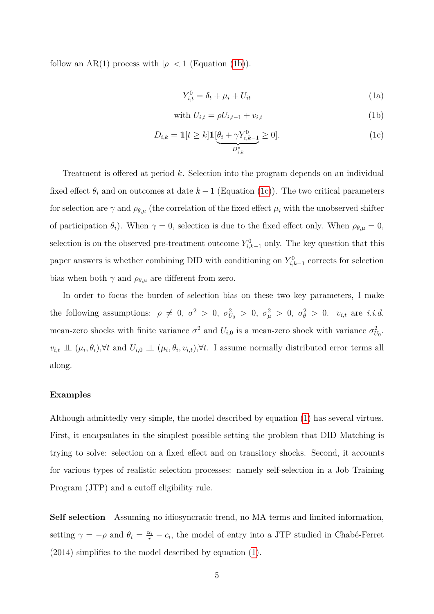follow an AR(1) process with  $|\rho| < 1$  (Equation [\(1b\)](#page-5-1)).

<span id="page-5-3"></span><span id="page-5-2"></span><span id="page-5-1"></span><span id="page-5-0"></span>
$$
Y_{i,t}^0 = \delta_t + \mu_i + U_{it} \tag{1a}
$$

with 
$$
U_{i,t} = \rho U_{i,t-1} + v_{i,t}
$$
 (1b)

$$
D_{i,k} = \mathbb{1}[t \ge k] \mathbb{1}[\underbrace{\theta_i + \gamma Y_{i,k-1}^0}_{D_{i,k}^*} \ge 0].
$$
\n(1c)

Treatment is offered at period *k*. Selection into the program depends on an individual fixed effect  $\theta_i$  and on outcomes at date  $k-1$  (Equation [\(1c\)](#page-5-2)). The two critical parameters for selection are  $\gamma$  and  $\rho_{\theta,\mu}$  (the correlation of the fixed effect  $\mu_i$  with the unobserved shifter of participation  $\theta_i$ ). When  $\gamma = 0$ , selection is due to the fixed effect only. When  $\rho_{\theta,\mu} = 0$ , selection is on the observed pre-treatment outcome  $Y_{i,k-1}^0$  only. The key question that this paper answers is whether combining DID with conditioning on  $Y_{i,k-1}^0$  corrects for selection bias when both  $\gamma$  and  $\rho_{\theta,\mu}$  are different from zero.

In order to focus the burden of selection bias on these two key parameters, I make the following assumptions:  $\rho \neq 0$ ,  $\sigma^2 > 0$ ,  $\sigma_{U_0}^2 > 0$ ,  $\sigma_{\mu}^2 > 0$ ,  $\sigma_{\theta}^2 > 0$ .  $v_{i,t}$  are *i.i.d.* mean-zero shocks with finite variance  $\sigma^2$  and  $U_{i,0}$  is a mean-zero shock with variance  $\sigma_{U_0}^2$ .  $v_{i,t} \perp\!\!\!\perp (\mu_i, \theta_i), \forall t$  and  $U_{i,0} \perp\!\!\!\perp (\mu_i, \theta_i, v_{i,t}), \forall t$ . I assume normally distributed error terms all along.

#### **Examples**

Although admittedly very simple, the model described by equation [\(1\)](#page-5-3) has several virtues. First, it encapsulates in the simplest possible setting the problem that DID Matching is trying to solve: selection on a fixed effect and on transitory shocks. Second, it accounts for various types of realistic selection processes: namely self-selection in a Job Training Program (JTP) and a cutoff eligibility rule.

**Self selection** Assuming no idiosyncratic trend, no MA terms and limited information, setting  $\gamma = -\rho$  and  $\theta_i = \frac{\alpha_i}{r} - c_i$ , the model of entry into a JTP studied in Chabé-Ferret (2014) simplifies to the model described by equation [\(1\)](#page-5-3).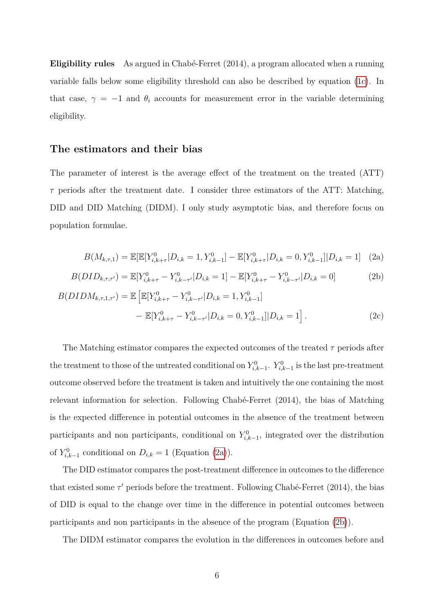**Eligibility rules** As argued in Chabé-Ferret (2014), a program allocated when a running variable falls below some eligibility threshold can also be described by equation [\(1c\)](#page-5-2). In that case,  $\gamma = -1$  and  $\theta_i$  accounts for measurement error in the variable determining eligibility.

### **The estimators and their bias**

The parameter of interest is the average effect of the treatment on the treated (ATT)  $\tau$  periods after the treatment date. I consider three estimators of the ATT: Matching, DID and DID Matching (DIDM). I only study asymptotic bias, and therefore focus on population formulae.

<span id="page-6-2"></span><span id="page-6-1"></span><span id="page-6-0"></span>
$$
B(M_{k,\tau,1}) = \mathbb{E}[\mathbb{E}[Y_{i,k+\tau}^0 | D_{i,k} = 1, Y_{i,k-1}^0] - \mathbb{E}[Y_{i,k+\tau}^0 | D_{i,k} = 0, Y_{i,k-1}^0] | D_{i,k} = 1]
$$
 (2a)

$$
B(DID_{k,\tau,\tau'}) = \mathbb{E}[Y_{i,k+\tau}^0 - Y_{i,k-\tau'}^0 | D_{i,k} = 1] - \mathbb{E}[Y_{i,k+\tau}^0 - Y_{i,k-\tau'}^0 | D_{i,k} = 0]
$$
(2b)

$$
B(DIDM_{k,\tau,1,\tau'}) = \mathbb{E}\left[\mathbb{E}[Y_{i,k+\tau}^{0} - Y_{i,k-\tau'}^{0} | D_{i,k} = 1, Y_{i,k-1}^{0}] - \mathbb{E}[Y_{i,k+\tau}^{0} - Y_{i,k-\tau'}^{0} | D_{i,k} = 0, Y_{i,k-1}^{0}]| D_{i,k} = 1\right].
$$
\n(2c)

The Matching estimator compares the expected outcomes of the treated *τ* periods after the treatment to those of the untreated conditional on  $Y_{i,k-1}^0$ .  $Y_{i,k-1}^0$  is the last pre-treatment outcome observed before the treatment is taken and intuitively the one containing the most relevant information for selection. Following Chabé-Ferret (2014), the bias of Matching is the expected difference in potential outcomes in the absence of the treatment between participants and non participants, conditional on  $Y_{i,k-1}^0$ , integrated over the distribution of  $Y_{i,k-1}^0$  conditional on  $D_{i,k} = 1$  (Equation [\(2a\)](#page-6-0)).

The DID estimator compares the post-treatment difference in outcomes to the difference that existed some  $\tau'$  periods before the treatment. Following Chabé-Ferret (2014), the bias of DID is equal to the change over time in the difference in potential outcomes between participants and non participants in the absence of the program (Equation [\(2b\)](#page-6-1)).

The DIDM estimator compares the evolution in the differences in outcomes before and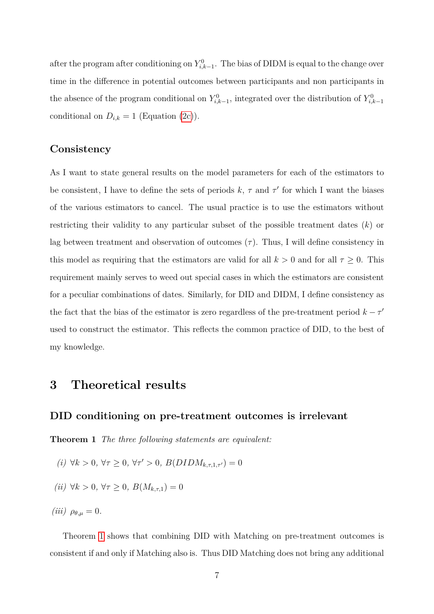after the program after conditioning on  $Y_{i,k-1}^0$ . The bias of DIDM is equal to the change over time in the difference in potential outcomes between participants and non participants in the absence of the program conditional on  $Y_{i,k-1}^0$ , integrated over the distribution of  $Y_{i,k-1}^0$ conditional on  $D_{i,k} = 1$  (Equation [\(2c\)](#page-6-2)).

### **Consistency**

As I want to state general results on the model parameters for each of the estimators to be consistent, I have to define the sets of periods  $k, \tau$  and  $\tau'$  for which I want the biases of the various estimators to cancel. The usual practice is to use the estimators without restricting their validity to any particular subset of the possible treatment dates (*k*) or lag between treatment and observation of outcomes  $(\tau)$ . Thus, I will define consistency in this model as requiring that the estimators are valid for all  $k > 0$  and for all  $\tau \geq 0$ . This requirement mainly serves to weed out special cases in which the estimators are consistent for a peculiar combinations of dates. Similarly, for DID and DIDM, I define consistency as the fact that the bias of the estimator is zero regardless of the pre-treatment period  $k - \tau'$ used to construct the estimator. This reflects the common practice of DID, to the best of my knowledge.

## <span id="page-7-0"></span>**3 Theoretical results**

### **DID conditioning on pre-treatment outcomes is irrelevant**

<span id="page-7-1"></span>**Theorem 1** *The three following statements are equivalent:*

- *(i)*  $\forall k > 0, \forall \tau \geq 0, \forall \tau' > 0, B(DIDM_{k,\tau,1,\tau'}) = 0$
- *(ii)*  $∀k > 0, ∀τ ≥ 0, B(M_{k,τ,1}) = 0$
- *(iii)*  $\rho_{\theta,\mu} = 0$ .

Theorem [1](#page-7-1) shows that combining DID with Matching on pre-treatment outcomes is consistent if and only if Matching also is. Thus DID Matching does not bring any additional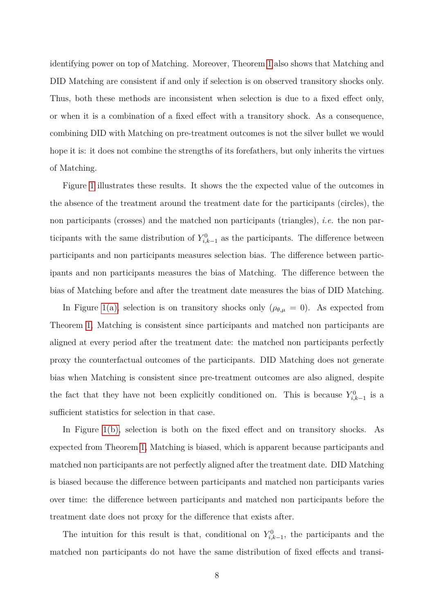identifying power on top of Matching. Moreover, Theorem [1](#page-7-1) also shows that Matching and DID Matching are consistent if and only if selection is on observed transitory shocks only. Thus, both these methods are inconsistent when selection is due to a fixed effect only, or when it is a combination of a fixed effect with a transitory shock. As a consequence, combining DID with Matching on pre-treatment outcomes is not the silver bullet we would hope it is: it does not combine the strengths of its forefathers, but only inherits the virtues of Matching.

Figure [1](#page-9-0) illustrates these results. It shows the the expected value of the outcomes in the absence of the treatment around the treatment date for the participants (circles), the non participants (crosses) and the matched non participants (triangles), *i.e.* the non participants with the same distribution of  $Y_{i,k-1}^0$  as the participants. The difference between participants and non participants measures selection bias. The difference between participants and non participants measures the bias of Matching. The difference between the bias of Matching before and after the treatment date measures the bias of DID Matching.

In Figure [1\(a\),](#page-9-1) selection is on transitory shocks only ( $\rho_{\theta,\mu} = 0$ ). As expected from Theorem [1,](#page-7-1) Matching is consistent since participants and matched non participants are aligned at every period after the treatment date: the matched non participants perfectly proxy the counterfactual outcomes of the participants. DID Matching does not generate bias when Matching is consistent since pre-treatment outcomes are also aligned, despite the fact that they have not been explicitly conditioned on. This is because  $Y_{i,k-1}^0$  is a sufficient statistics for selection in that case.

In Figure [1\(b\),](#page-9-2) selection is both on the fixed effect and on transitory shocks. As expected from Theorem [1,](#page-7-1) Matching is biased, which is apparent because participants and matched non participants are not perfectly aligned after the treatment date. DID Matching is biased because the difference between participants and matched non participants varies over time: the difference between participants and matched non participants before the treatment date does not proxy for the difference that exists after.

The intuition for this result is that, conditional on  $Y_{i,k-1}^0$ , the participants and the matched non participants do not have the same distribution of fixed effects and transi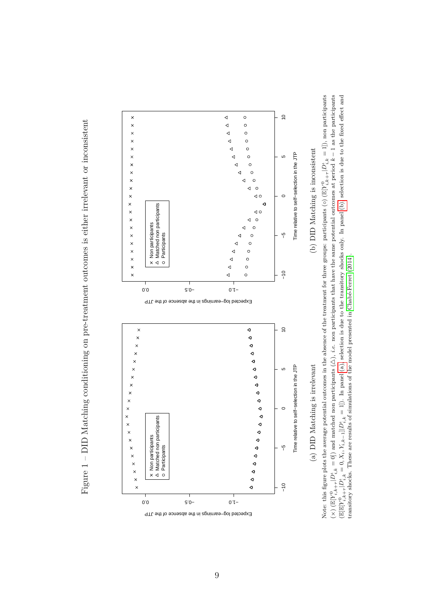<span id="page-9-1"></span><span id="page-9-0"></span>Figure 1 - DID Matching conditioning on pre-treatment outcomes is either irrelevant or inconsistent Figure 1 – DID Matching conditioning on pre-treatment outcomes is either irrelevant or inconsistent



<span id="page-9-2"></span>Note: this figure plots the average potential outcomes in the absence of the treatment for three groups: participants (◦) (I  $\mathbb{E}[Y_{i,k}^0]$ +*τ*  $|D_{i,k}^{\iota}=1]$ ), non participants  $\frac{1}{x}$  $\mathbb{E}[Y_{i,k}^0]$ +*τ*  $|D^i_{i,k} = 0|$ ) and matched non participants (2)  $\triangle$ ), *i.e.* non participants that have the same potential outcomes at period  $k - 1$  as the participants  $(\mathbb{E}[\mathbb{E}[Y]^0_{i,k})$ +*τ*  $D_{i,k}^{\ell} = 0, X_i, Y_{i,k-1} | D_{i,k}^{\ell} = 1]$ . In panel [\(a\),](#page-9-1) selection is due to the transitory shocks only. In panel [\(b\),](#page-9-2) selection is due to the fixed effect and transitory shocks. These are results of simulations of the model presented in [Chabé-Ferret](#page-18-5) [\(2014\)](#page-18-5).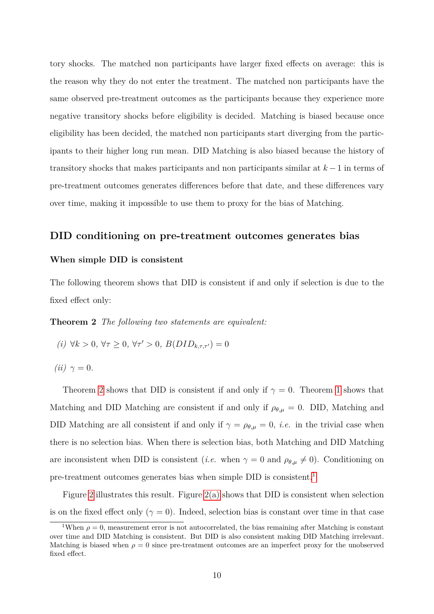tory shocks. The matched non participants have larger fixed effects on average: this is the reason why they do not enter the treatment. The matched non participants have the same observed pre-treatment outcomes as the participants because they experience more negative transitory shocks before eligibility is decided. Matching is biased because once eligibility has been decided, the matched non participants start diverging from the participants to their higher long run mean. DID Matching is also biased because the history of transitory shocks that makes participants and non participants similar at *k* −1 in terms of pre-treatment outcomes generates differences before that date, and these differences vary over time, making it impossible to use them to proxy for the bias of Matching.

### **DID conditioning on pre-treatment outcomes generates bias**

#### **When simple DID is consistent**

<span id="page-10-0"></span>The following theorem shows that DID is consistent if and only if selection is due to the fixed effect only:

**Theorem 2** *The following two statements are equivalent:*

- *(i)* ∀*k* > 0*,* ∀*τ* ≥ 0*,* ∀*τ'* > 0*, B*(*DID*<sub>*k,τ*,*τ'*</sub>) = 0
- $(iii)$   $\gamma = 0$ *.*

Theorem [2](#page-10-0) shows that DID is consistent if and only if  $\gamma = 0$ . Theorem [1](#page-7-1) shows that Matching and DID Matching are consistent if and only if  $\rho_{\theta,\mu} = 0$ . DID, Matching and DID Matching are all consistent if and only if  $\gamma = \rho_{\theta,\mu} = 0$ , *i.e.* in the trivial case when there is no selection bias. When there is selection bias, both Matching and DID Matching are inconsistent when DID is consistent (*i.e.* when  $\gamma = 0$  and  $\rho_{\theta,\mu} \neq 0$ ). Conditioning on pre-treatment outcomes generates bias when simple DID is consistent.<sup>[1](#page-10-1)</sup>

Figure [2](#page-11-0) illustrates this result. Figure [2\(a\)](#page-11-1) shows that DID is consistent when selection is on the fixed effect only ( $\gamma = 0$ ). Indeed, selection bias is constant over time in that case

<span id="page-10-1"></span><sup>&</sup>lt;sup>1</sup>When  $\rho = 0$ , measurement error is not autocorrelated, the bias remaining after Matching is constant over time and DID Matching is consistent. But DID is also consistent making DID Matching irrelevant. Matching is biased when  $\rho = 0$  since pre-treatment outcomes are an imperfect proxy for the unobserved fixed effect.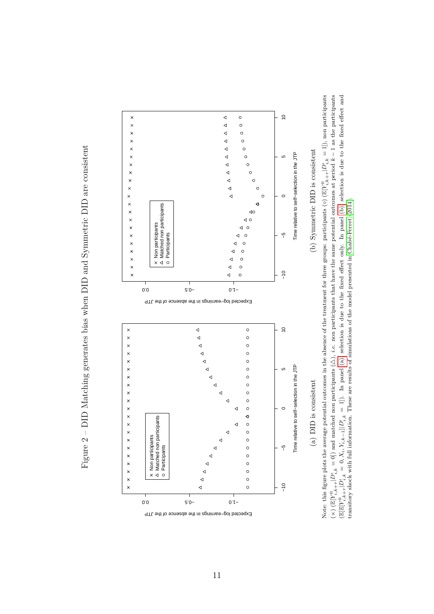<span id="page-11-1"></span>Figure 2 – DID Matching generates bias when DID and Symmetric DID are consistent Figure 2 – DID Matching generates bias when DID and Symmetric DID are consistent

<span id="page-11-0"></span>

<span id="page-11-2"></span>Note: this figure plots the average potential outcomes in the absence of the treatment for three groups: participants (◦) (I  $\mathbb{E}[Y_{i,k}^0]$ +*τ*  $|D_{i,k}^{\iota}=1]$ ), non participants  $\frac{1}{x}$  $\mathbb{E}[Y_{i,k}^0]$ +*τ*  $|D^i_{i,k} = 0|$ ) and matched non participants ( $\lambda$  $\triangle$ ), *i.e.* non participants that have the same potential outcomes at period  $k - 1$  as the participants  $(\mathbb{E}[\mathbb{E}[Y]^0_{i,k})$ +*τ*  $D_{i,k}^{\ell} = 0, X_i, Y_{i,k-1} || D_{i,k}^{\ell} = 1]$ . In panel [\(a\),](#page-11-1) selection is due to the fixed effect only. In panel [\(b\),](#page-11-2) selection is due to the fixed effect and transitory shock with full information. These are results of simulations of the model presented in [Chabé-Ferret](#page-18-5) [\(2014\)](#page-18-5).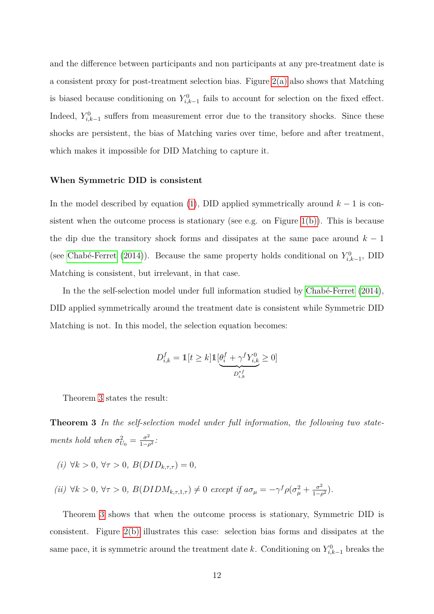and the difference between participants and non participants at any pre-treatment date is a consistent proxy for post-treatment selection bias. Figure [2\(a\)](#page-11-1) also shows that Matching is biased because conditioning on  $Y_{i,k-1}^0$  fails to account for selection on the fixed effect. Indeed,  $Y_{i,k-1}^0$  suffers from measurement error due to the transitory shocks. Since these shocks are persistent, the bias of Matching varies over time, before and after treatment, which makes it impossible for DID Matching to capture it.

#### **When Symmetric DID is consistent**

In the model described by equation [\(1\)](#page-5-3), DID applied symmetrically around  $k-1$  is consistent when the outcome process is stationary (see e.g. on Figure  $1(b)$ ). This is because the dip due the transitory shock forms and dissipates at the same pace around *k* − 1 (see [Chabé-Ferret](#page-18-5) [\(2014\)](#page-18-5)). Because the same property holds conditional on  $Y_{i,k-1}^0$ , DID Matching is consistent, but irrelevant, in that case.

In the the self-selection model under full information studied by [Chabé-Ferret](#page-18-5) [\(2014\)](#page-18-5), DID applied symmetrically around the treatment date is consistent while Symmetric DID Matching is not. In this model, the selection equation becomes:

<span id="page-12-0"></span>
$$
D_{i,k}^f = \mathbb{1}[t \ge k] \mathbb{1} \underbrace{[\theta_i^f + \gamma^f Y_{i,k}^0}_{D_{i,k}^{*f}} \ge 0]
$$

Theorem [3](#page-12-0) states the result:

**Theorem 3** *In the self-selection model under full information, the following two statements hold when*  $\sigma_{U_0}^2 = \frac{\sigma^2}{1-\rho^2}$  $\frac{\sigma^2}{1-\rho^2}$ :

- *(i)* ∀*k >* 0*,* ∀*τ >* 0*, B*(*DIDk,τ,τ* ) = 0*,*
- $(iii) \forall k > 0, \forall \tau > 0, B(DIDM_{k,\tau,1,\tau}) \neq 0 \text{ except if } a\sigma_{\mu} = -\gamma^f \rho(\sigma_{\mu}^2 + \frac{\sigma^2}{1-\mu})$  $\frac{\sigma^2}{1-\rho^2}$ ).

Theorem [3](#page-12-0) shows that when the outcome process is stationary, Symmetric DID is consistent. Figure [2\(b\)](#page-11-2) illustrates this case: selection bias forms and dissipates at the same pace, it is symmetric around the treatment date *k*. Conditioning on  $Y_{i,k-1}^0$  breaks the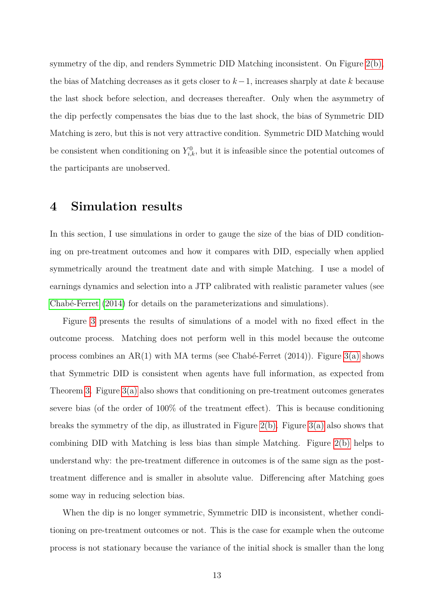symmetry of the dip, and renders Symmetric DID Matching inconsistent. On Figure [2\(b\),](#page-11-2) the bias of Matching decreases as it gets closer to *k*−1, increases sharply at date *k* because the last shock before selection, and decreases thereafter. Only when the asymmetry of the dip perfectly compensates the bias due to the last shock, the bias of Symmetric DID Matching is zero, but this is not very attractive condition. Symmetric DID Matching would be consistent when conditioning on  $Y_{i,k}^0$ , but it is infeasible since the potential outcomes of the participants are unobserved.

## <span id="page-13-0"></span>**4 Simulation results**

In this section, I use simulations in order to gauge the size of the bias of DID conditioning on pre-treatment outcomes and how it compares with DID, especially when applied symmetrically around the treatment date and with simple Matching. I use a model of earnings dynamics and selection into a JTP calibrated with realistic parameter values (see [Chabé-Ferret](#page-18-5) [\(2014\)](#page-18-5) for details on the parameterizations and simulations).

Figure [3](#page-14-0) presents the results of simulations of a model with no fixed effect in the outcome process. Matching does not perform well in this model because the outcome process combines an AR(1) with MA terms (see Chabé-Ferret  $(2014)$ ). Figure [3\(a\)](#page-14-1) shows that Symmetric DID is consistent when agents have full information, as expected from Theorem [3.](#page-12-0) Figure [3\(a\)](#page-14-1) also shows that conditioning on pre-treatment outcomes generates severe bias (of the order of 100% of the treatment effect). This is because conditioning breaks the symmetry of the dip, as illustrated in Figure [2\(b\).](#page-11-2) Figure [3\(a\)](#page-14-1) also shows that combining DID with Matching is less bias than simple Matching. Figure [2\(b\)](#page-11-2) helps to understand why: the pre-treatment difference in outcomes is of the same sign as the posttreatment difference and is smaller in absolute value. Differencing after Matching goes some way in reducing selection bias.

When the dip is no longer symmetric, Symmetric DID is inconsistent, whether conditioning on pre-treatment outcomes or not. This is the case for example when the outcome process is not stationary because the variance of the initial shock is smaller than the long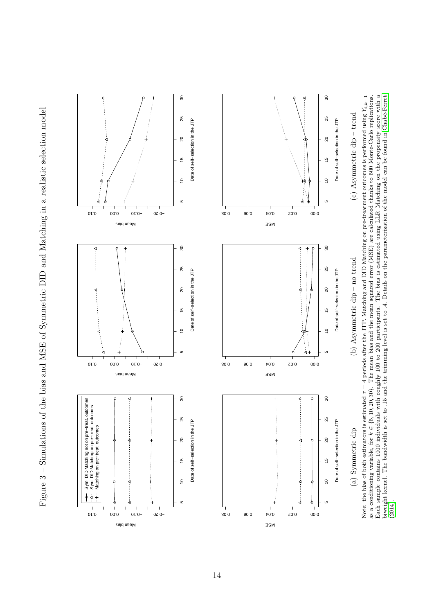<span id="page-14-1"></span>Figure 3 – Simulations of the bias and MSE of Symmetric DID and Matching in a realistic selection model Figure 3 – Simulations of the bias and MSE of Symmetric DID and Matching in a realistic selection model

<span id="page-14-3"></span><span id="page-14-2"></span><span id="page-14-0"></span>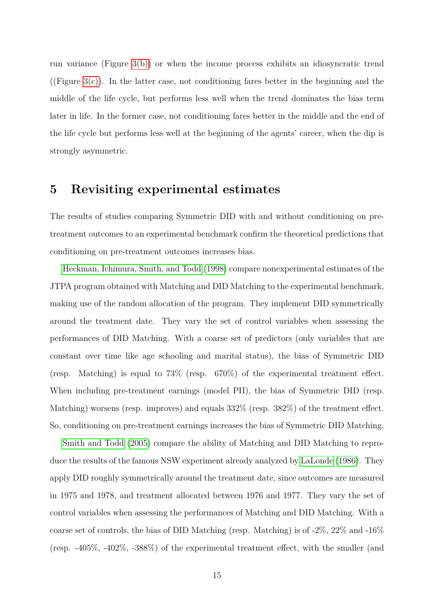run variance (Figure [3\(b\)\)](#page-14-2) or when the income process exhibits an idiosyncratic trend ((Figure [3\(c\)\)](#page-14-3). In the latter case, not conditioning fares better in the beginning and the middle of the life cycle, but performs less well when the trend dominates the bias term later in life. In the former case, not conditioning fares better in the middle and the end of the life cycle but performs less well at the beginning of the agents' career, when the dip is strongly asymmetric.

## <span id="page-15-0"></span>**5 Revisiting experimental estimates**

The results of studies comparing Symmetric DID with and without conditioning on pretreatment outcomes to an experimental benchmark confirm the theoretical predictions that conditioning on pre-treatment outcomes increases bias.

[Heckman, Ichimura, Smith, and Todd](#page-18-0) [\(1998\)](#page-18-0) compare nonexperimental estimates of the JTPA program obtained with Matching and DID Matching to the experimental benchmark, making use of the random allocation of the program. They implement DID symmetrically around the treatment date. They vary the set of control variables when assessing the performances of DID Matching. With a coarse set of predictors (only variables that are constant over time like age schooling and marital status), the bias of Symmetric DID (resp. Matching) is equal to 73% (resp. 670%) of the experimental treatment effect. When including pre-treatment earnings (model PII), the bias of Symmetric DID (resp. Matching) worsens (resp. improves) and equals 332% (resp. 382%) of the treatment effect. So, conditioning on pre-treatment earnings increases the bias of Symmetric DID Matching.

[Smith and Todd](#page-19-3) [\(2005\)](#page-19-3) compare the ability of Matching and DID Matching to reproduce the results of the famous NSW experiment already analyzed by [LaLonde](#page-19-2) [\(1986\)](#page-19-2). They apply DID roughly symmetrically around the treatment date, since outcomes are measured in 1975 and 1978, and treatment allocated between 1976 and 1977. They vary the set of control variables when assessing the performances of Matching and DID Matching. With a coarse set of controls, the bias of DID Matching (resp. Matching) is of -2%, 22% and -16% (resp. -405%, -402%, -388%) of the experimental treatment effect, with the smaller (and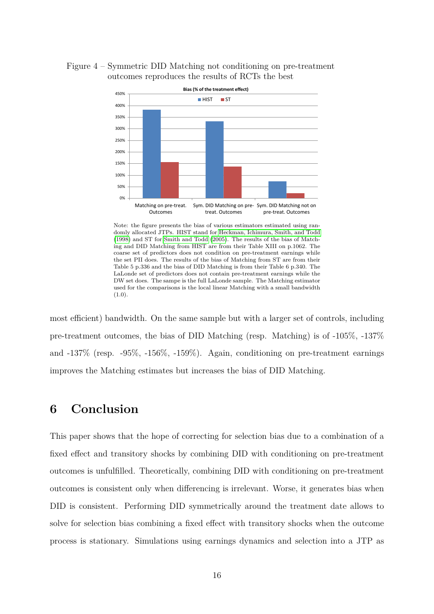



Note: the figure presents the bias of various estimators estimated using randomly allocated JTPs. HIST stand for [Heckman, Ichimura, Smith, and Todd](#page-18-0) [\(1998\)](#page-18-0) and ST for [Smith and Todd](#page-19-3) [\(2005\)](#page-19-3). The results of the bias of Matching and DID Matching from HIST are from their Table XIII on p.1062. The coarse set of predictors does not condition on pre-treatment earnings while the set PII does. The results of the bias of Matching from ST are from their Table 5 p.336 and the bias of DID Matching is from their Table 6 p.340. The LaLonde set of predictors does not contain pre-treatment earnings while the DW set does. The sampe is the full LaLonde sample. The Matching estimator used for the comparisons is the local linear Matching with a small bandwidth  $(1.0)$ 

most efficient) bandwidth. On the same sample but with a larger set of controls, including pre-treatment outcomes, the bias of DID Matching (resp. Matching) is of -105%, -137% and -137% (resp. -95%, -156%, -159%). Again, conditioning on pre-treatment earnings improves the Matching estimates but increases the bias of DID Matching.

## **6 Conclusion**

This paper shows that the hope of correcting for selection bias due to a combination of a fixed effect and transitory shocks by combining DID with conditioning on pre-treatment outcomes is unfulfilled. Theoretically, combining DID with conditioning on pre-treatment outcomes is consistent only when differencing is irrelevant. Worse, it generates bias when DID is consistent. Performing DID symmetrically around the treatment date allows to solve for selection bias combining a fixed effect with transitory shocks when the outcome process is stationary. Simulations using earnings dynamics and selection into a JTP as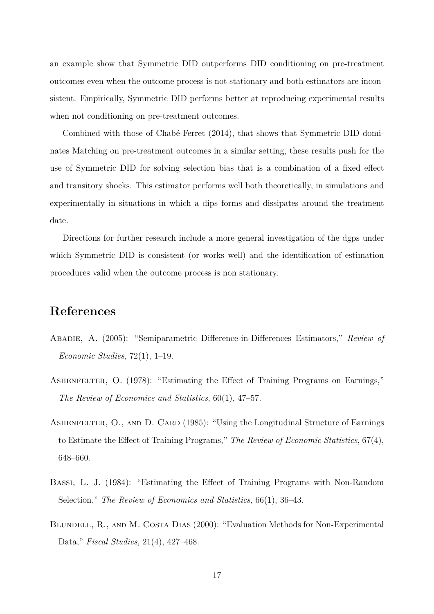an example show that Symmetric DID outperforms DID conditioning on pre-treatment outcomes even when the outcome process is not stationary and both estimators are inconsistent. Empirically, Symmetric DID performs better at reproducing experimental results when not conditioning on pre-treatment outcomes.

Combined with those of Chabé-Ferret (2014), that shows that Symmetric DID dominates Matching on pre-treatment outcomes in a similar setting, these results push for the use of Symmetric DID for solving selection bias that is a combination of a fixed effect and transitory shocks. This estimator performs well both theoretically, in simulations and experimentally in situations in which a dips forms and dissipates around the treatment date.

Directions for further research include a more general investigation of the dgps under which Symmetric DID is consistent (or works well) and the identification of estimation procedures valid when the outcome process is non stationary.

## **References**

- <span id="page-17-1"></span>Abadie, A. (2005): "Semiparametric Difference-in-Differences Estimators," *Review of Economic Studies*, 72(1), 1–19.
- <span id="page-17-2"></span>ASHENFELTER, O. (1978): "Estimating the Effect of Training Programs on Earnings," *The Review of Economics and Statistics*, 60(1), 47–57.
- <span id="page-17-3"></span>ASHENFELTER, O., AND D. CARD (1985): "Using the Longitudinal Structure of Earnings to Estimate the Effect of Training Programs," *The Review of Economic Statistics*, 67(4), 648–660.
- <span id="page-17-4"></span>Bassi, L. J. (1984): "Estimating the Effect of Training Programs with Non-Random Selection," *The Review of Economics and Statistics*, 66(1), 36–43.
- <span id="page-17-0"></span>BLUNDELL, R., AND M. COSTA DIAS (2000): "Evaluation Methods for Non-Experimental Data," *Fiscal Studies*, 21(4), 427–468.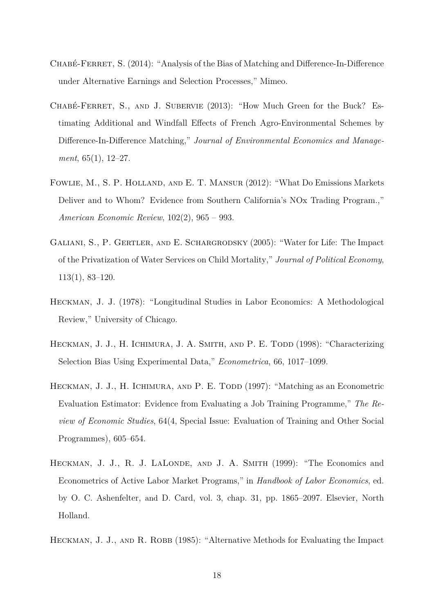- <span id="page-18-5"></span>CHABÉ-FERRET, S. (2014): "Analysis of the Bias of Matching and Difference-In-Difference under Alternative Earnings and Selection Processes," Mimeo.
- <span id="page-18-4"></span>Chabé-Ferret, S., and J. Subervie (2013): "How Much Green for the Buck? Estimating Additional and Windfall Effects of French Agro-Environmental Schemes by Difference-In-Difference Matching," *Journal of Environmental Economics and Management*, 65(1), 12–27.
- <span id="page-18-3"></span>Fowlie, M., S. P. Holland, and E. T. Mansur (2012): "What Do Emissions Markets Deliver and to Whom? Evidence from Southern California's NOx Trading Program.," *American Economic Review*, 102(2), 965 – 993.
- <span id="page-18-2"></span>Galiani, S., P. Gertler, and E. Schargrodsky (2005): "Water for Life: The Impact of the Privatization of Water Services on Child Mortality," *Journal of Political Economy*, 113(1), 83–120.
- <span id="page-18-6"></span>Heckman, J. J. (1978): "Longitudinal Studies in Labor Economics: A Methodological Review," University of Chicago.
- <span id="page-18-0"></span>HECKMAN, J. J., H. ICHIMURA, J. A. SMITH, AND P. E. TODD (1998): "Characterizing Selection Bias Using Experimental Data," *Econometrica*, 66, 1017–1099.
- <span id="page-18-8"></span>HECKMAN, J. J., H. ICHIMURA, AND P. E. TODD (1997): "Matching as an Econometric Evaluation Estimator: Evidence from Evaluating a Job Training Programme," *The Review of Economic Studies*, 64(4, Special Issue: Evaluation of Training and Other Social Programmes), 605–654.
- <span id="page-18-1"></span>HECKMAN, J. J., R. J. LALONDE, AND J. A. SMITH (1999): "The Economics and Econometrics of Active Labor Market Programs," in *Handbook of Labor Economics*, ed. by O. C. Ashenfelter, and D. Card, vol. 3, chap. 31, pp. 1865–2097. Elsevier, North Holland.
- <span id="page-18-7"></span>HECKMAN, J. J., AND R. ROBB (1985): "Alternative Methods for Evaluating the Impact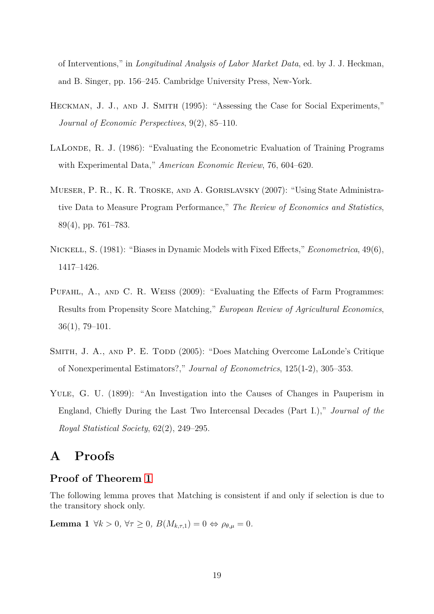of Interventions," in *Longitudinal Analysis of Labor Market Data*, ed. by J. J. Heckman, and B. Singer, pp. 156–245. Cambridge University Press, New-York.

- <span id="page-19-0"></span>HECKMAN, J. J., AND J. SMITH (1995): "Assessing the Case for Social Experiments," *Journal of Economic Perspectives*, 9(2), 85–110.
- <span id="page-19-2"></span>LALONDE, R. J. (1986): "Evaluating the Econometric Evaluation of Training Programs with Experimental Data," *American Economic Review*, 76, 604–620.
- <span id="page-19-4"></span>Mueser, P. R., K. R. Troske, and A. Gorislavsky (2007): "Using State Administrative Data to Measure Program Performance," *The Review of Economics and Statistics*, 89(4), pp. 761–783.
- <span id="page-19-6"></span>Nickell, S. (1981): "Biases in Dynamic Models with Fixed Effects," *Econometrica*, 49(6), 1417–1426.
- <span id="page-19-5"></span>Pufahl, A., and C. R. Weiss (2009): "Evaluating the Effects of Farm Programmes: Results from Propensity Score Matching," *European Review of Agricultural Economics*, 36(1), 79–101.
- <span id="page-19-3"></span>SMITH, J. A., AND P. E. TODD (2005): "Does Matching Overcome LaLonde's Critique of Nonexperimental Estimators?," *Journal of Econometrics*, 125(1-2), 305–353.
- <span id="page-19-1"></span>YULE, G. U. (1899): "An Investigation into the Causes of Changes in Pauperism in England, Chiefly During the Last Two Intercensal Decades (Part I.)," *Journal of the Royal Statistical Society*, 62(2), 249–295.

## **A Proofs**

### **Proof of Theorem [1](#page-7-1)**

<span id="page-19-7"></span>The following lemma proves that Matching is consistent if and only if selection is due to the transitory shock only.

**Lemma 1**  $\forall k > 0, \forall \tau \geq 0, B(M_{k,\tau,1}) = 0 \Leftrightarrow \rho_{\theta,\mu} = 0.$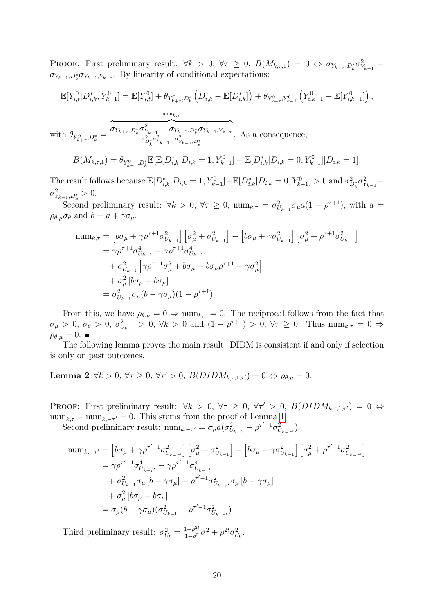PROOF: First preliminary result:  $\forall k > 0, \forall \tau \geq 0, B(M_{k,\tau,1}) = 0 \Leftrightarrow \sigma_{Y_{k+\tau},D_k^*} \sigma_{Y_{k-1}}^2$  $\sigma_{Y_{k-1},D_k^*} \sigma_{Y_{k-1},Y_{k+\tau}}$ . By linearity of conditional expectations:

$$
\mathbb{E}[Y_{i,t}^{0}|D_{i,k}^{*},Y_{k-1}^{0}] = \mathbb{E}[Y_{i,t}^{0}] + \theta_{Y_{k+\tau}^{0},D_{k}^{*}}\left(D_{i,k}^{*} - \mathbb{E}[D_{i,k}^{*}]\right) + \theta_{Y_{k+\tau}^{0},Y_{k-1}^{0}}\left(Y_{i,k-1}^{0} - \mathbb{E}[Y_{i,k-1}^{0}]\right),
$$
  
\nwith 
$$
\theta_{Y_{k+\tau}^{0},D_{k}^{*}} = \underbrace{\overbrace{\sigma_{Y_{k+\tau},D_{k}^{*}}\sigma_{Y_{k-1}}^{2} - \sigma_{Y_{k-1},D_{k}^{*}}^{2}\sigma_{Y_{k-1},Y_{k+\tau}}^{2}}.
$$
 As a consequence,  
\n
$$
B(M_{k,\tau,1}) = \theta_{Y_{k+\tau}^{0},D_{k}^{*}}\mathbb{E}[\mathbb{E}[D_{i,k}^{*}|D_{i,k} = 1, Y_{k-1}^{0}] - \mathbb{E}[D_{i,k}^{*}|D_{i,k} = 0, Y_{k-1}^{0}]|D_{i,k} = 1].
$$

The result follows because  $\mathbb{E}[D_{i,k}^* | D_{i,k} = 1, Y_{k-1}^0] - \mathbb{E}[D_{i,k}^* | D_{i,k} = 0, Y_{k-1}^0] > 0$  and  $\sigma_{D_k^*}^2 \sigma_{Y_{k-1}}^2$  $\sigma_{Y_{k-1},D_k^*}^2 > 0.$ 

Second preliminary result:  $\forall k > 0, \forall \tau \geq 0, \text{ num}_{k,\tau} = \sigma_{U_{k-1}}^2 \sigma_\mu a (1 - \rho^{\tau+1}), \text{ with } a =$  $\rho_{\theta,\mu}\sigma_{\theta}$  and  $b=a+\gamma\sigma_{\mu}$ .

$$
\begin{split} \text{num}_{k,\tau} &= \left[ b\sigma_{\mu} + \gamma \rho^{\tau+1} \sigma_{U_{k-1}}^{2} \right] \left[ \sigma_{\mu}^{2} + \sigma_{U_{k-1}}^{2} \right] - \left[ b\sigma_{\mu} + \gamma \sigma_{U_{k-1}}^{2} \right] \left[ \sigma_{\mu}^{2} + \rho^{\tau+1} \sigma_{U_{k-1}}^{2} \right] \\ &= \gamma \rho^{\tau+1} \sigma_{U_{k-1}}^{4} - \gamma \rho^{\tau+1} \sigma_{U_{k-1}}^{4} \\ &+ \sigma_{U_{k-1}}^{2} \left[ \gamma \rho^{\tau+1} \sigma_{\mu}^{2} + b\sigma_{\mu} - b\sigma_{\mu} \rho^{\tau+1} - \gamma \sigma_{\mu}^{2} \right] \\ &+ \sigma_{\mu}^{2} \left[ b\sigma_{\mu} - b\sigma_{\mu} \right] \\ &= \sigma_{U_{k-1}}^{2} \sigma_{\mu} (b - \gamma \sigma_{\mu}) (1 - \rho^{\tau+1}) \end{split}
$$

From this, we have  $\rho_{\theta,\mu} = 0 \Rightarrow \text{num}_{k,\tau} = 0$ . The reciprocal follows from the fact that  $\sigma_{\mu} > 0$ ,  $\sigma_{\theta} > 0$ ,  $\sigma_{U_{k-1}}^2 > 0$ ,  $\forall k > 0$  and  $(1 - \rho^{\tau+1}) > 0$ ,  $\forall \tau \ge 0$ . Thus  $\min_{k,\tau} = 0 \Rightarrow$  $\rho_{\theta,\mu}=0.$ 

The following lemma proves the main result: DIDM is consistent if and only if selection is only on past outcomes.

<span id="page-20-0"></span>**Lemma 2**  $\forall k > 0, \forall \tau \geq 0, \forall \tau' > 0, B(DIDM_{k,\tau,1,\tau'}) = 0 \Leftrightarrow \rho_{\theta,\mu} = 0.$ 

PROOF: First preliminary result:  $\forall k > 0, \forall \tau \geq 0, \forall \tau' > 0, B(DIDM_{k,\tau,1,\tau'}) = 0 \Leftrightarrow$  $\text{num}_{k,\tau} - \text{num}_{k,-\tau'} = 0$ . This stems from the proof of Lemma [1.](#page-19-7)

Second preliminary result:  $\lim_{k, -\tau'} = \sigma_{\mu} a(\sigma_{U_{k-1}}^2 - \rho^{\tau'-1} \sigma_{U_{k-\tau'}}^2)$ .

$$
\begin{split} \text{num}_{k,-\tau'} &= \left[ b\sigma_{\mu} + \gamma \rho^{\tau'-1} \sigma_{U_{k-\tau'}}^2 \right] \left[ \sigma_{\mu}^2 + \sigma_{U_{k-1}}^2 \right] - \left[ b\sigma_{\mu} + \gamma \sigma_{U_{k-1}}^2 \right] \left[ \sigma_{\mu}^2 + \rho^{\tau'-1} \sigma_{U_{k-\tau'}}^2 \right] \\ &= \gamma \rho^{\tau'-1} \sigma_{U_{k-\tau'}}^4 - \gamma \rho^{\tau'-1} \sigma_{U_{k-\tau'}}^4 \\ &+ \sigma_{U_{k-1}}^2 \sigma_{\mu} \left[ b - \gamma \sigma_{\mu} \right] - \rho^{\tau'-1} \sigma_{U_{k-\tau'}}^2 \sigma_{\mu} \left[ b - \gamma \sigma_{\mu} \right] \\ &+ \sigma_{\mu}^2 \left[ b\sigma_{\mu} - b\sigma_{\mu} \right] \\ &= \sigma_{\mu} (b - \gamma \sigma_{\mu}) (\sigma_{U_{k-1}}^2 - \rho^{\tau'-1} \sigma_{U_{k-\tau'}}^2) \end{split}
$$

Third preliminary result:  $\sigma_{U_t}^2 = \frac{1-\rho^{2t}}{1-\rho^2}$  $\frac{1-\rho^{2t}}{1-\rho^{2}}\sigma^{2} + \rho^{2t}\sigma_{U_{0}}^{2}.$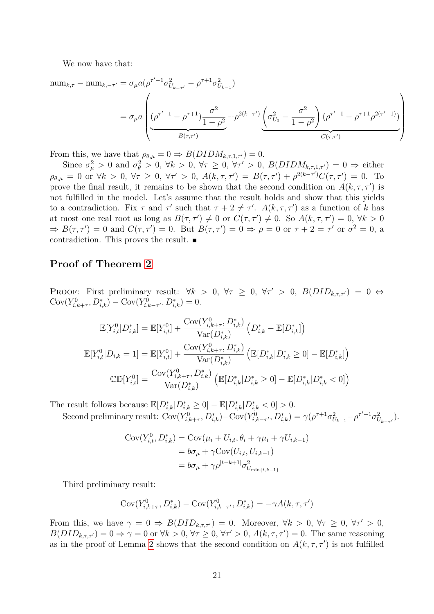We now have that:

num<sub>k,τ</sub> - num<sub>k,τ'</sub> = 
$$
\sigma_{\mu} a(\rho^{\tau'-1} \sigma_{U_{k-\tau'}}^2 - \rho^{\tau+1} \sigma_{U_{k-1}}^2)
$$
  
=  $\sigma_{\mu} a \left( \underbrace{(\rho^{\tau'-1} - \rho^{\tau+1}) \frac{\sigma^2}{1 - \rho^2}}_{B(\tau,\tau')} + \rho^{2(k-\tau')} \underbrace{(\sigma_{U_0}^2 - \frac{\sigma^2}{1 - \rho^2}) (\rho^{\tau'-1} - \rho^{\tau+1} \rho^{2(\tau'-1)})}_{C(\tau,\tau')}$ 

From this, we have that  $\rho_{\theta,\mu} = 0 \Rightarrow B(DIDM_{k,\tau,1,\tau'}) = 0.$ 

Since  $\sigma_{\mu}^2 > 0$  and  $\sigma_{\theta}^2 > 0$ ,  $\forall k > 0$ ,  $\forall \tau \geq 0$ ,  $\forall \tau' > 0$ ,  $B(DIDM_{k,\tau,1,\tau'}) = 0 \Rightarrow$  either  $\rho_{\theta,\mu} = 0$  or  $\forall k > 0$ ,  $\forall \tau \geq 0$ ,  $\forall \tau' > 0$ ,  $A(k, \tau, \tau') = B(\tau, \tau') + \rho^{2(k-\tau')} C(\tau, \tau') = 0$ . To prove the final result, it remains to be shown that the second condition on  $A(k, \tau, \tau')$  is not fulfilled in the model. Let's assume that the result holds and show that this yields to a contradiction. Fix  $\tau$  and  $\tau'$  such that  $\tau + 2 \neq \tau'$ .  $A(k, \tau, \tau')$  as a function of *k* has at most one real root as long as  $B(\tau, \tau') \neq 0$  or  $C(\tau, \tau') \neq 0$ . So  $A(k, \tau, \tau') = 0$ ,  $\forall k > 0$  $\Rightarrow B(\tau, \tau') = 0$  and  $C(\tau, \tau') = 0$ . But  $B(\tau, \tau') = 0 \Rightarrow \rho = 0$  or  $\tau + 2 = \tau'$  or  $\sigma^2 = 0$ , a contradiction. This proves the result.

### **Proof of Theorem [2](#page-10-0)**

PROOF: First preliminary result:  $\forall k > 0, \forall \tau \geq 0, \forall \tau' > 0, B(DID_{k,\tau,\tau'}) = 0 \Leftrightarrow$  $Cov(Y_{i,k+\tau}^0, D_{i,k}^*) - Cov(Y_{i,k-\tau'}^0, D_{i,k}^*) = 0.$ 

$$
\mathbb{E}[Y_{i,t}^{0}|D_{i,k}^{*}] = \mathbb{E}[Y_{i,t}^{0}] + \frac{\text{Cov}(Y_{i,k+\tau}^{0}, D_{i,k}^{*})}{\text{Var}(D_{i,k}^{*})} \left(D_{i,k}^{*} - \mathbb{E}[D_{i,k}^{*}]\right)
$$

$$
\mathbb{E}[Y_{i,t}^{0}|D_{i,k} = 1] = \mathbb{E}[Y_{i,t}^{0}] + \frac{\text{Cov}(Y_{i,k+\tau}^{0}, D_{i,k}^{*})}{\text{Var}(D_{i,k}^{*})} \left(\mathbb{E}[D_{i,k}^{*}|D_{i,k}^{*} \geq 0] - \mathbb{E}[D_{i,k}^{*}]\right)
$$

$$
\mathbb{C}\mathbb{D}[Y_{i,t}^{0}] = \frac{\text{Cov}(Y_{i,k+\tau}^{0}, D_{i,k}^{*})}{\text{Var}(D_{i,k}^{*})} \left(\mathbb{E}[D_{i,k}^{*}|D_{i,k}^{*} \geq 0] - \mathbb{E}[D_{i,k}^{*}|D_{i,k}^{*} < 0]\right)
$$

The result follows because  $\mathbb{E}[D_{i,k}^*|D_{i,k}^* \ge 0] - \mathbb{E}[D_{i,k}^*|D_{i,k}^* < 0] > 0$ .

Second preliminary result:  $Cov(Y_{i,k+\tau}^0, D_{i,k}^*) - Cov(Y_{i,k-\tau'}^0, D_{i,k}^*) = \gamma(\rho^{\tau+1}\sigma_{U_{k-1}}^2 - \rho^{\tau'-1}\sigma_{U_{k-\tau'}}^2).$ 

$$
Cov(Y_{i,t}^0, D_{i,k}^*) = Cov(\mu_i + U_{i,t}, \theta_i + \gamma \mu_i + \gamma U_{i,k-1})
$$
  
=  $b\sigma_\mu + \gamma Cov(U_{i,t}, U_{i,k-1})$   
=  $b\sigma_\mu + \gamma \rho^{|t-k+1|} \sigma_{U_{\min\{t,k-1\}}}^2$ 

Third preliminary result:

$$
\mathrm{Cov}(Y^0_{i,k+\tau},D^*_{i,k}) - \mathrm{Cov}(Y^0_{i,k-\tau'},D^*_{i,k}) = -\gamma A(k,\tau,\tau')
$$

From this, we have  $\gamma = 0 \Rightarrow B(DID_{k,\tau,\tau'}) = 0$ . Moreover,  $\forall k > 0, \forall \tau \geq 0, \forall \tau' > 0$ ,  $B(DID_{k,\tau,\tau'}) = 0 \Rightarrow \gamma = 0$  or  $\forall k > 0, \forall \tau \geq 0, \forall \tau' > 0, A(k,\tau,\tau') = 0$ . The same reasoning as in the proof of Lemma [2](#page-20-0) shows that the second condition on  $A(k, \tau, \tau')$  is not fulfilled